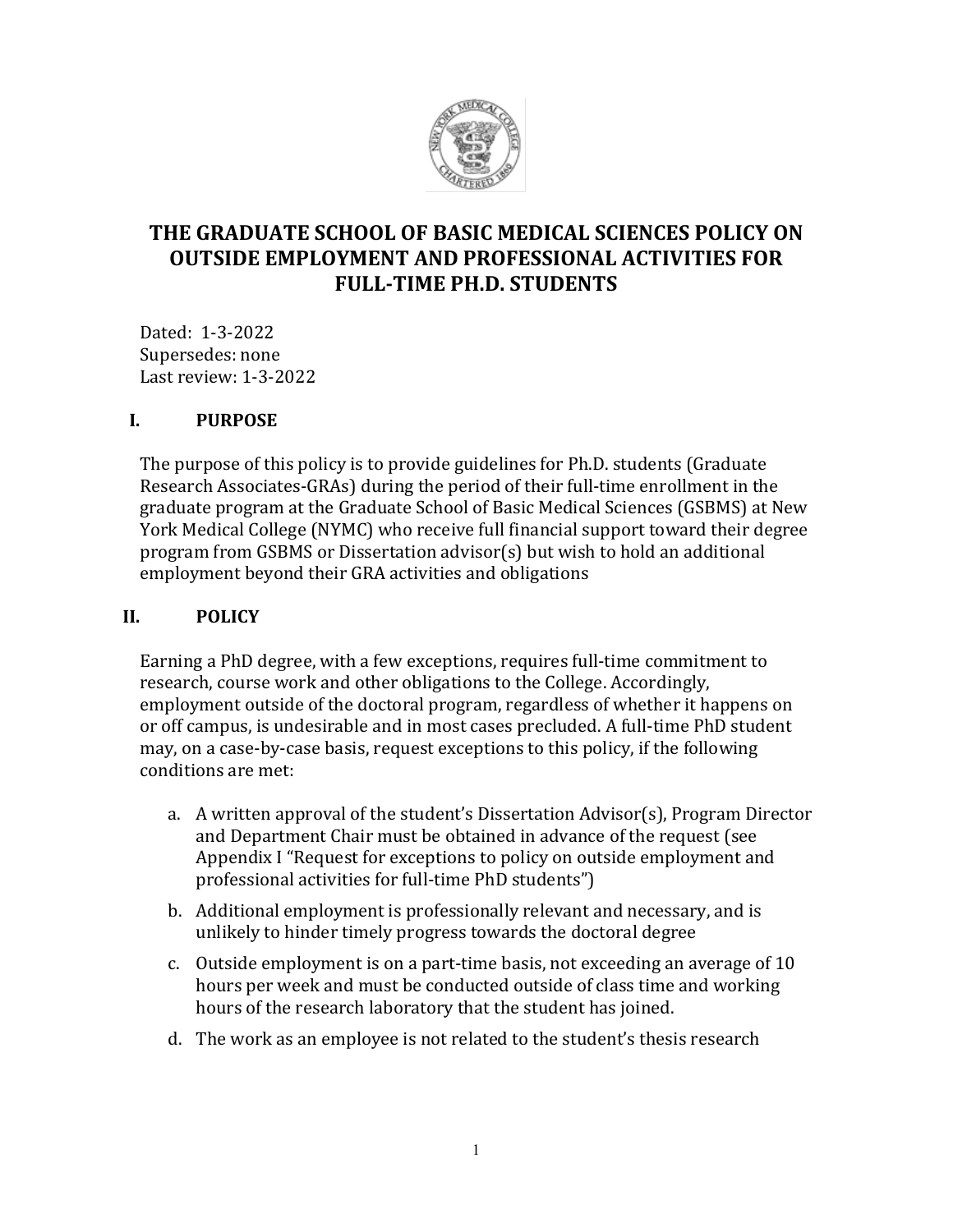

# **THE GRADUATE SCHOOL OF BASIC MEDICAL SCIENCES POLICY ON OUTSIDE EMPLOYMENT AND PROFESSIONAL ACTIVITIES FOR FULL-TIME PH.D. STUDENTS**

Dated: 1-3-2022 Supersedes: none Last review: 1-3-2022

#### **I. PURPOSE**

The purpose of this policy is to provide guidelines for Ph.D. students (Graduate Research Associates-GRAs) during the period of their full-time enrollment in the graduate program at the Graduate School of Basic Medical Sciences (GSBMS) at New York Medical College (NYMC) who receive full financial support toward their degree program from GSBMS or Dissertation advisor(s) but wish to hold an additional employment beyond their GRA activities and obligations

#### **II. POLICY**

Earning a PhD degree, with a few exceptions, requires full-time commitment to research, course work and other obligations to the College. Accordingly, employment outside of the doctoral program, regardless of whether it happens on or off campus, is undesirable and in most cases precluded. A full-time PhD student may, on a case-by-case basis, request exceptions to this policy, if the following conditions are met:

- a. A written approval of the student's Dissertation Advisor(s), Program Director and Department Chair must be obtained in advance of the request (see Appendix I "Request for exceptions to policy on outside employment and professional activities for full-time PhD students")
- b. Additional employment is professionally relevant and necessary, and is unlikely to hinder timely progress towards the doctoral degree
- c. Outside employment is on a part-time basis, not exceeding an average of 10 hours per week and must be conducted outside of class time and working hours of the research laboratory that the student has joined.
- d. The work as an employee is not related to the student's thesis research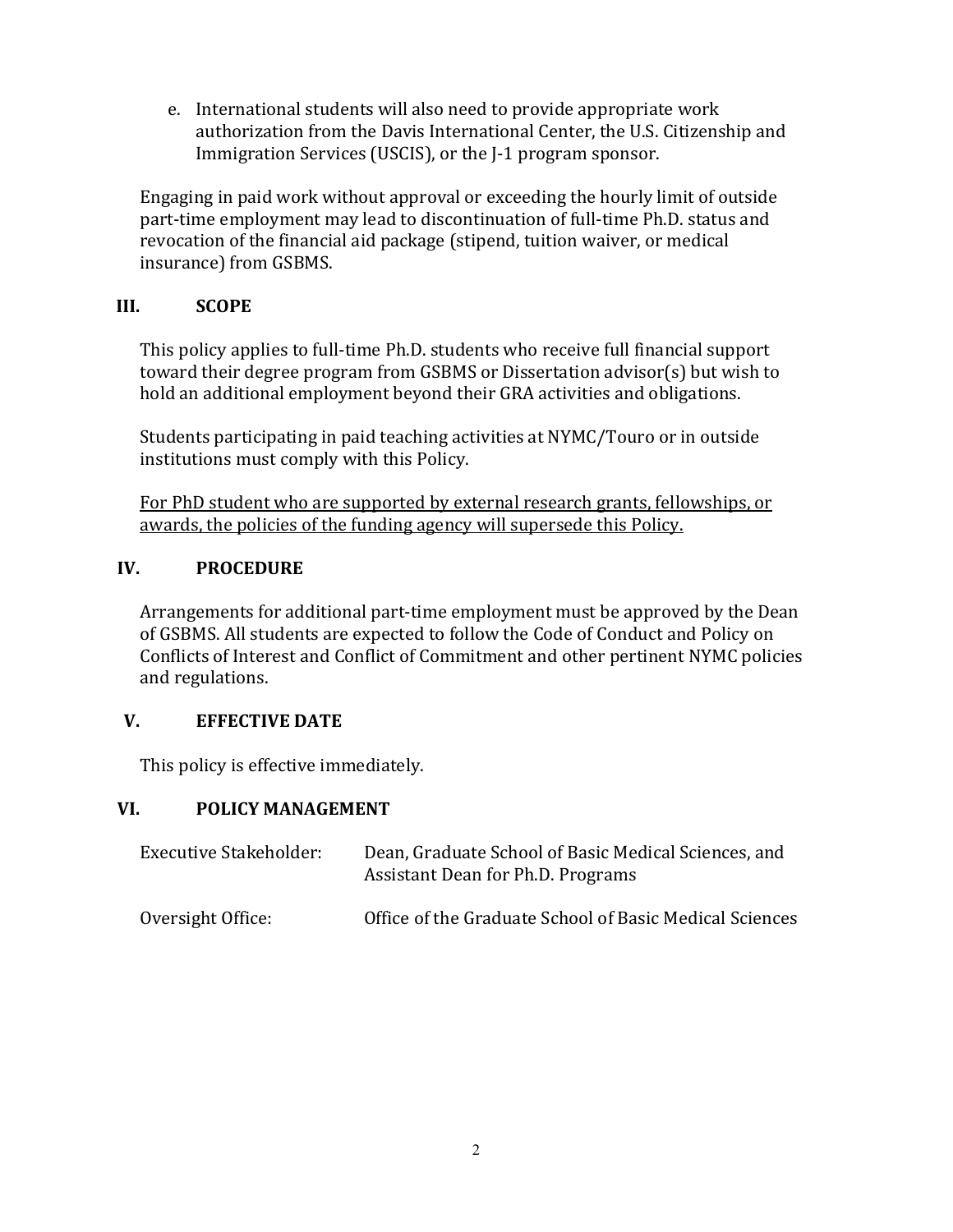e. International students will also need to provide appropriate work authorization from the Davis International Center, the U.S. Citizenship and Immigration Services (USCIS), or the J-1 program sponsor.

Engaging in paid work without approval or exceeding the hourly limit of outside part-time employment may lead to discontinuation of full-time Ph.D. status and revocation of the financial aid package (stipend, tuition waiver, or medical insurance) from GSBMS.

## **III. SCOPE**

This policy applies to full-time Ph.D. students who receive full financial support toward their degree program from GSBMS or Dissertation advisor(s) but wish to hold an additional employment beyond their GRA activities and obligations.

Students participating in paid teaching activities at NYMC/Touro or in outside institutions must comply with this Policy.

For PhD student who are supported by external research grants, fellowships, or awards, the policies of the funding agency will supersede this Policy.

## **IV. PROCEDURE**

Arrangements for additional part-time employment must be approved by the Dean of GSBMS. All students are expected to follow the Code of Conduct and Policy on Conflicts of Interest and Conflict of Commitment and other pertinent NYMC policies and regulations.

# **V. EFFECTIVE DATE**

This policy is effective immediately.

# **VI. POLICY MANAGEMENT**

| Executive Stakeholder: | Dean, Graduate School of Basic Medical Sciences, and<br>Assistant Dean for Ph.D. Programs |
|------------------------|-------------------------------------------------------------------------------------------|
| Oversight Office:      | Office of the Graduate School of Basic Medical Sciences                                   |